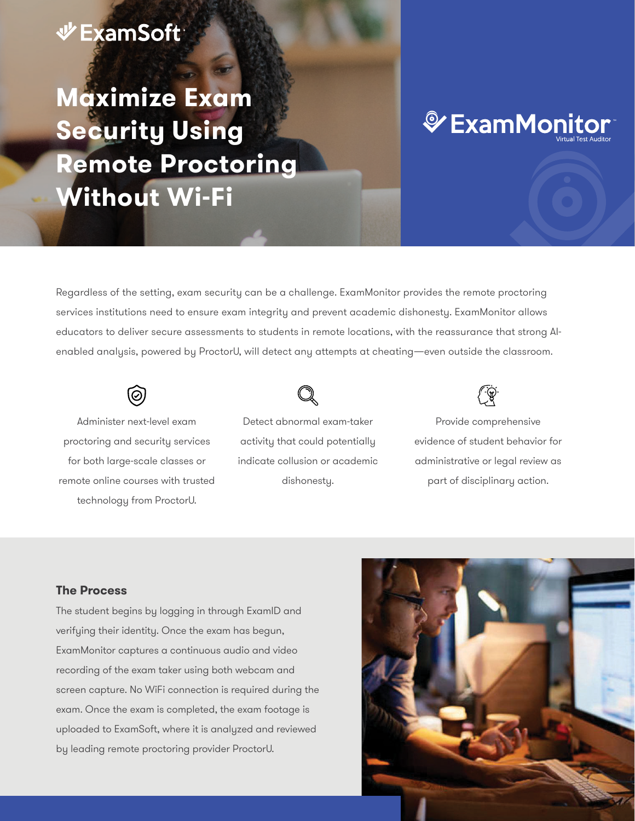### **少ExamSoft**

# **Maximize Exam Security Using Remote Proctoring Without Wi-Fi**

# *V* ExamMonitor®

Regardless of the setting, exam security can be a challenge. ExamMonitor provides the remote proctoring services institutions need to ensure exam integrity and prevent academic dishonesty. ExamMonitor allows educators to deliver secure assessments to students in remote locations, with the reassurance that strong AIenabled analysis, powered by ProctorU, will detect any attempts at cheating—even outside the classroom.

Administer next-level exam proctoring and security services for both large-scale classes or remote online courses with trusted technology from ProctorU.



Detect abnormal exam-taker activity that could potentially indicate collusion or academic dishonesty.



Provide comprehensive evidence of student behavior for administrative or legal review as part of disciplinary action.

#### **The Process**

The student begins by logging in through ExamID and verifying their identity. Once the exam has begun, ExamMonitor captures a continuous audio and video recording of the exam taker using both webcam and screen capture. No WiFi connection is required during the exam. Once the exam is completed, the exam footage is uploaded to ExamSoft, where it is analyzed and reviewed by leading remote proctoring provider ProctorU.